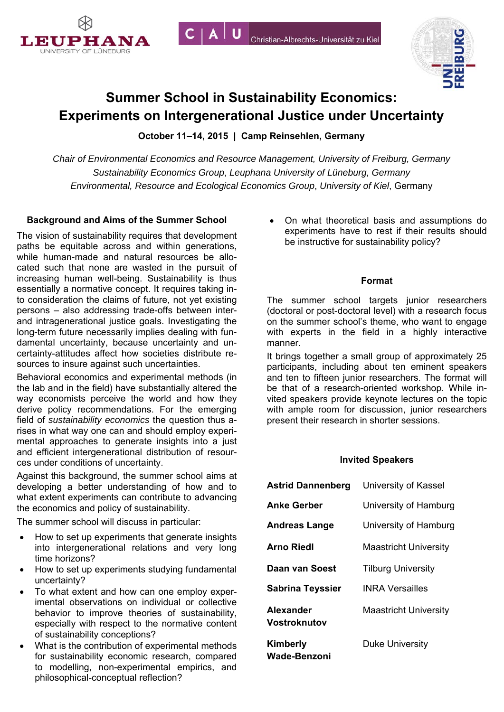



# **Summer School in Sustainability Economics: Experiments on Intergenerational Justice under Uncertainty**

 $C | A | U$ 

**October 11–14, 2015 | Camp Reinsehlen, Germany** 

*Chair of Environmental Economics and Resource Management, University of Freiburg, Germany Sustainability Economics Group*, *Leuphana University of Lüneburg, Germany Environmental, Resource and Ecological Economics Group*, *University of Kiel*, Germany

# **Background and Aims of the Summer School**

The vision of sustainability requires that development paths be equitable across and within generations, while human-made and natural resources be allocated such that none are wasted in the pursuit of increasing human well-being. Sustainability is thus essentially a normative concept. It requires taking into consideration the claims of future, not yet existing persons – also addressing trade-offs between interand intragenerational justice goals. Investigating the long-term future necessarily implies dealing with fundamental uncertainty, because uncertainty and uncertainty-attitudes affect how societies distribute resources to insure against such uncertainties.

Behavioral economics and experimental methods (in the lab and in the field) have substantially altered the way economists perceive the world and how they derive policy recommendations. For the emerging field of *sustainability economics* the question thus arises in what way one can and should employ experimental approaches to generate insights into a just and efficient intergenerational distribution of resources under conditions of uncertainty.

Against this background, the summer school aims at developing a better understanding of how and to what extent experiments can contribute to advancing the economics and policy of sustainability.

The summer school will discuss in particular:

- How to set up experiments that generate insights into intergenerational relations and very long time horizons?
- How to set up experiments studying fundamental uncertainty?
- To what extent and how can one employ experimental observations on individual or collective behavior to improve theories of sustainability, especially with respect to the normative content of sustainability conceptions?
- What is the contribution of experimental methods for sustainability economic research, compared to modelling, non-experimental empirics, and philosophical-conceptual reflection?

 On what theoretical basis and assumptions do experiments have to rest if their results should be instructive for sustainability policy?

## **Format**

The summer school targets junior researchers (doctoral or post-doctoral level) with a research focus on the summer school's theme, who want to engage with experts in the field in a highly interactive manner.

It brings together a small group of approximately 25 participants, including about ten eminent speakers and ten to fifteen junior researchers. The format will be that of a research-oriented workshop. While invited speakers provide keynote lectures on the topic with ample room for discussion, junior researchers present their research in shorter sessions.

## **Invited Speakers**

| <b>Astrid Dannenberg</b>  | University of Kassel         |
|---------------------------|------------------------------|
| <b>Anke Gerber</b>        | University of Hamburg        |
| <b>Andreas Lange</b>      | University of Hamburg        |
| <b>Arno Riedl</b>         | <b>Maastricht University</b> |
| Daan van Soest            | <b>Tilburg University</b>    |
| <b>Sabrina Teyssier</b>   | <b>INRA Versailles</b>       |
| Alexander<br>Vostroknutov | <b>Maastricht University</b> |
| Kimberly<br>Wade-Benzoni  | <b>Duke University</b>       |